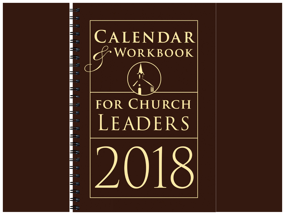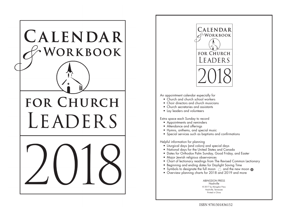



An appointment calendar especially for

- Church and church school workers
- Choir directors and church musicians
- Church secretaries and assistants
- Lay leaders and volunteers

Extra space each Sunday to record

- Appointments and reminders
- Attendance and offerings
- Hymns, anthems, and special music
- Special services such as baptisms and confirmations

Helpful information for planning

- Liturgical days (and colors) and special days
- National days for the United States and Canada
- Dates for Orthodox Palm Sunday, Good Friday, and Easter
- Major Jewish religious observances
- Chart of lectionary readings from The Revised Common Lectionary
- Beginning and ending dates for Daylight Saving Time
- Symbols to designate the full moon  $\bigcirc$  and the new moon  $\bigcirc$
- Overview planning charts for 2018 and 2019 and more

ABINGDON PRESS Nashville © 2017 by Abingdon Press Nashville, Tennessee Printed in China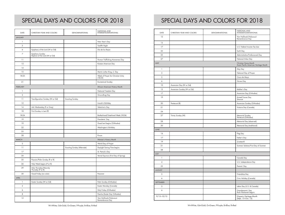## SPECIAL DAYS AND COLORS FOR 2018

| DATE            | CHRISTIAN YEAR AND COLORS                        | DENOMINATIONAL              | NATIONAL AND<br>INTERDENOMINATIONAL             |  |
|-----------------|--------------------------------------------------|-----------------------------|-------------------------------------------------|--|
| <b>JANUARY</b>  |                                                  |                             |                                                 |  |
| 1               |                                                  |                             | New Year's Day                                  |  |
| 5               |                                                  |                             | Twelfth Night                                   |  |
| 6               | Epiphany of the Lord (W or Gd)                   |                             | Día de los Reyes                                |  |
| 7               | Epiphany Sunday<br>Baptism of the Lord (W or Gd) |                             |                                                 |  |
| 11              |                                                  |                             | Human Trafficking Awareness Day                 |  |
| 13              |                                                  |                             | Korean American Day                             |  |
| 14              |                                                  |                             |                                                 |  |
| 15              |                                                  |                             | Martin Luther King, Jr. Day                     |  |
| 18-25           |                                                  |                             | Week of Prayer for Christian Unity<br>$(18-25)$ |  |
| 21              |                                                  |                             | <b>Ecumenical Sunday</b>                        |  |
| <b>FEBRUARY</b> |                                                  |                             | African American History Month                  |  |
| 1               |                                                  |                             | National Freedom Day                            |  |
| 2               |                                                  |                             | Groundhog Day                                   |  |
| 11              | Transfiguration Sunday (W or Gd)                 | Scouting Sunday             |                                                 |  |
| 12              |                                                  |                             | Lincoln's Birthday                              |  |
| 14              | Ash Wednesday (P or Gray)                        |                             | Valentine's Day                                 |  |
| 18              | First Sunday in Lent (P)                         |                             |                                                 |  |
| 18-24           |                                                  |                             | Brotherhood/Sisterhood Week (18-24)             |  |
| 19              |                                                  |                             | Presidents' Day                                 |  |
| 19              |                                                  |                             | Great Lent begins (Orthodox)                    |  |
| 22              |                                                  |                             | Washington's Birthday                           |  |
| 25              |                                                  |                             |                                                 |  |
| 28              |                                                  |                             | Purum                                           |  |
| <b>MARCH</b>    |                                                  |                             | Women's History Month                           |  |
| $\sqrt{2}$      |                                                  |                             | World Day of Prayer                             |  |
| 11              |                                                  | Scouting Sunday (Alternate) | Daylight Saving Time begins                     |  |
| 17              |                                                  |                             | St. Patrick's Day                               |  |
| 20              |                                                  |                             | Vernal Equinox (First Day of Spring)            |  |
| 25              | Passion/Palm Sunday (P or R)                     |                             |                                                 |  |
| 26              | Holy Week begins (P or R)                        |                             |                                                 |  |
| 29              | Holy Thursday/Maundy<br>Thursday (P or R)        |                             |                                                 |  |
| 30              | Good Friday (no color)                           |                             | Passover                                        |  |
| APRIL           |                                                  |                             |                                                 |  |
| $\mathbf{1}$    | Easter Sunday (W or Gd)                          |                             | Palm Sunday (Orthodox)                          |  |
| $\overline{2}$  |                                                  |                             | Easter Monday (Canada)                          |  |
| 6               |                                                  |                             | Holy Friday (Orthodox)                          |  |
| 8               |                                                  |                             | Pascha (Easter Day Orthodox)                    |  |
| 12              |                                                  |                             | Yom HaShoah/Holocaust<br>Remembrance Day        |  |

## SPECIAL DAYS AND COLORS FOR 2018

| DATE           | CHRISTIAN YEAR AND COLORS  | DENOMINATIONAL | NATIONAL AND<br>INTERDENOMINATIONAL                           |  |
|----------------|----------------------------|----------------|---------------------------------------------------------------|--|
| 12             |                            |                | Yom HaShoah/Holocaust<br>Remembrance Day                      |  |
| 15             |                            |                |                                                               |  |
| 17             |                            |                | U.S. Federal Income Tax due                                   |  |
| 22             |                            |                | Earth Day                                                     |  |
| 25             |                            |                | Administrative Professionals Day                              |  |
| 27             |                            |                | National Arbor Day                                            |  |
| MAY            |                            |                | Christian Home Month<br>Asian Pacific American Heritage Month |  |
| 1              |                            |                | May Day                                                       |  |
| 3              |                            |                | National Day of Prayer                                        |  |
| 5              |                            |                | Cinco de Mayo                                                 |  |
| 6              |                            |                | Nurses Day                                                    |  |
| 10             | Ascension Day (W or Gd)    |                |                                                               |  |
| 13             | Ascension Sunday (W or Gd) |                | Mother's Day                                                  |  |
| 17             |                            |                | Ascension Day (Orthodox)                                      |  |
| 19             |                            |                | Armed Forces Day<br>Shavuot                                   |  |
| 20             | Pentecost (R)              |                | Ascension Sunday (Orthodox)                                   |  |
| 21             |                            |                | Victoria Day (Canada)                                         |  |
| 24             |                            |                |                                                               |  |
| 27             | Trinity Sunday (W)         |                | Memorial Sunday<br>Pentecost (Orthodox)                       |  |
| 28             |                            |                | Memorial Day (observed)                                       |  |
| 30             |                            |                | Memorial Day (traditional)                                    |  |
| JUNE           |                            |                |                                                               |  |
| 14             |                            |                | Flag Day                                                      |  |
| 17             |                            |                | Father's Day                                                  |  |
| 19             |                            |                | Juneteenth                                                    |  |
| 21             |                            |                | Summer Solstice/First Day of Summer                           |  |
| 28             |                            |                |                                                               |  |
| JULY           |                            |                |                                                               |  |
| 1              |                            |                | Canada Day                                                    |  |
| $\pmb{4}$      |                            |                | U.S. Independence Day                                         |  |
| 22             |                            |                | Parents' Day                                                  |  |
| <b>AUGUST</b>  |                            |                |                                                               |  |
| 5              |                            |                | Friendship Day                                                |  |
| 6              |                            |                | Civic Holiday (Canada)                                        |  |
| SEPTEMBER      |                            |                |                                                               |  |
| 3              |                            |                | Labor Day (U.S. & Canada)                                     |  |
| 9              |                            |                | Grandparents' Day<br>Rosh Hashanah begins                     |  |
| $9/15 - 10/15$ |                            |                | Hispanic Heritage Month<br>(Sept. 15–Oct. 15)                 |  |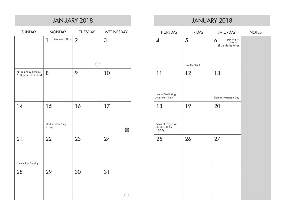|                                           |                                     | JANUARY 2018   |              |                                                          | <b>JANUARY 2</b> |              |
|-------------------------------------------|-------------------------------------|----------------|--------------|----------------------------------------------------------|------------------|--------------|
| <b>SUNDAY</b>                             | <b>MONDAY</b>                       | <b>TUESDAY</b> | WEDNESDAY    | <b>THURSDAY</b>                                          | <b>FRIDAY</b>    | $S\Delta$    |
|                                           | New Year's Day<br>$\mathbf{1}$      | $\overline{2}$ | 3            | $\overline{\mathcal{A}}$                                 | 5                | 6<br>El D    |
|                                           |                                     |                |              |                                                          | Twelfth Night    |              |
| 7 Epiphany Sunday/<br>Baptism of the Lord | 8                                   | 9              | 10           | 11<br>Human Trafficking<br>Awareness Day                 | 12               | 13<br>Korear |
| 14                                        | 15<br>Martin Luther King<br>Jr. Day | 16             | 17<br>$(\ )$ | 18<br>Week of Prayer for<br>Christian Unity<br>$(18-25)$ | 19               | 20           |
| 21<br><b>Ecumenical Sunday</b>            | 22                                  | 23             | 24           | 25                                                       | 26               | 27           |
| 28                                        | 29                                  | 30             | 31           |                                                          |                  |              |

## JANUARY 2018

| <b>THURSDAY</b>                                    | <b>FRIDAY</b> | <b>SATURDAY</b>                                     | <b>NOTES</b> |
|----------------------------------------------------|---------------|-----------------------------------------------------|--------------|
| $\boldsymbol{\mathcal{A}}$                         | 5             | Epiphany of<br>6<br>the Lord<br>El Día de los Reyes |              |
|                                                    | Twelfth Night |                                                     |              |
| 11                                                 | 12            | 13                                                  |              |
| Human Trafficking<br>Awareness Day                 |               | Korean American Day                                 |              |
| 18                                                 | 19            | 20                                                  |              |
| Week of Prayer for<br>Christian Unity<br>$(18-25)$ |               |                                                     |              |
| 25                                                 | 26            | 27                                                  |              |
|                                                    |               |                                                     |              |